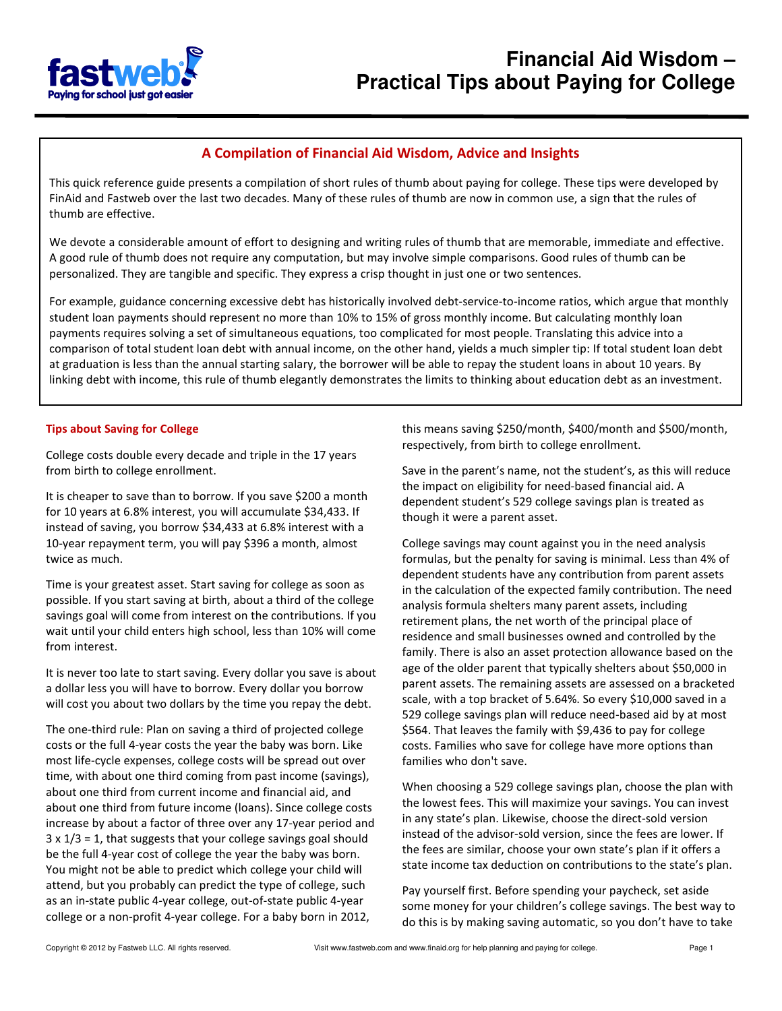

## A Compilation of Financial Aid Wisdom, Advice and Insights

This quick reference guide presents a compilation of short rules of thumb about paying for college. These tips were developed by FinAid and Fastweb over the last two decades. Many of these rules of thumb are now in common use, a sign that the rules of thumb are effective.

We devote a considerable amount of effort to designing and writing rules of thumb that are memorable, immediate and effective. A good rule of thumb does not require any computation, but may involve simple comparisons. Good rules of thumb can be personalized. They are tangible and specific. They express a crisp thought in just one or two sentences.

For example, guidance concerning excessive debt has historically involved debt-service-to-income ratios, which argue that monthly student loan payments should represent no more than 10% to 15% of gross monthly income. But calculating monthly loan payments requires solving a set of simultaneous equations, too complicated for most people. Translating this advice into a comparison of total student loan debt with annual income, on the other hand, yields a much simpler tip: If total student loan debt at graduation is less than the annual starting salary, the borrower will be able to repay the student loans in about 10 years. By linking debt with income, this rule of thumb elegantly demonstrates the limits to thinking about education debt as an investment.

## Tips about Saving for College

College costs double every decade and triple in the 17 years from birth to college enrollment.

It is cheaper to save than to borrow. If you save \$200 a month for 10 years at 6.8% interest, you will accumulate \$34,433. If instead of saving, you borrow \$34,433 at 6.8% interest with a 10-year repayment term, you will pay \$396 a month, almost twice as much.

Time is your greatest asset. Start saving for college as soon as possible. If you start saving at birth, about a third of the college savings goal will come from interest on the contributions. If you wait until your child enters high school, less than 10% will come from interest.

It is never too late to start saving. Every dollar you save is about a dollar less you will have to borrow. Every dollar you borrow will cost you about two dollars by the time you repay the debt.

The one-third rule: Plan on saving a third of projected college costs or the full 4-year costs the year the baby was born. Like most life-cycle expenses, college costs will be spread out over time, with about one third coming from past income (savings), about one third from current income and financial aid, and about one third from future income (loans). Since college costs increase by about a factor of three over any 17-year period and  $3 \times 1/3 = 1$ , that suggests that your college savings goal should be the full 4-year cost of college the year the baby was born. You might not be able to predict which college your child will attend, but you probably can predict the type of college, such as an in-state public 4-year college, out-of-state public 4-year college or a non-profit 4-year college. For a baby born in 2012,

this means saving \$250/month, \$400/month and \$500/month, respectively, from birth to college enrollment.

Save in the parent's name, not the student's, as this will reduce the impact on eligibility for need-based financial aid. A dependent student's 529 college savings plan is treated as though it were a parent asset.

College savings may count against you in the need analysis formulas, but the penalty for saving is minimal. Less than 4% of dependent students have any contribution from parent assets in the calculation of the expected family contribution. The need analysis formula shelters many parent assets, including retirement plans, the net worth of the principal place of residence and small businesses owned and controlled by the family. There is also an asset protection allowance based on the age of the older parent that typically shelters about \$50,000 in parent assets. The remaining assets are assessed on a bracketed scale, with a top bracket of 5.64%. So every \$10,000 saved in a 529 college savings plan will reduce need-based aid by at most \$564. That leaves the family with \$9,436 to pay for college costs. Families who save for college have more options than families who don't save.

When choosing a 529 college savings plan, choose the plan with the lowest fees. This will maximize your savings. You can invest in any state's plan. Likewise, choose the direct-sold version instead of the advisor-sold version, since the fees are lower. If the fees are similar, choose your own state's plan if it offers a state income tax deduction on contributions to the state's plan.

Pay yourself first. Before spending your paycheck, set aside some money for your children's college savings. The best way to do this is by making saving automatic, so you don't have to take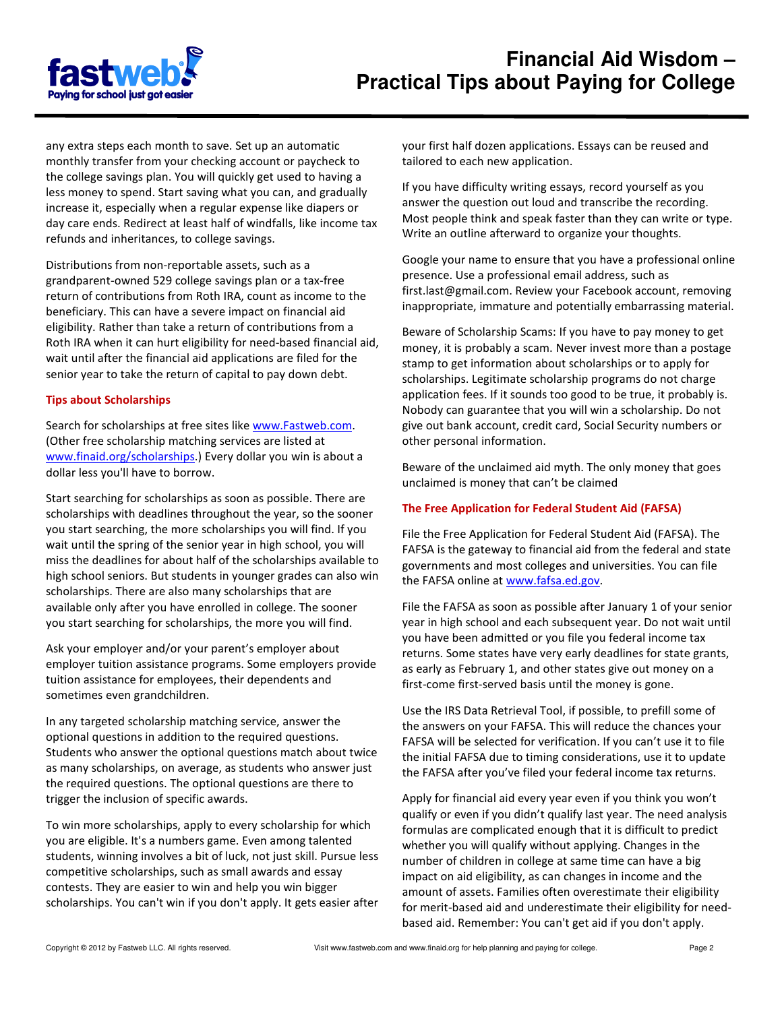

any extra steps each month to save. Set up an automatic monthly transfer from your checking account or paycheck to the college savings plan. You will quickly get used to having a less money to spend. Start saving what you can, and gradually increase it, especially when a regular expense like diapers or day care ends. Redirect at least half of windfalls, like income tax refunds and inheritances, to college savings.

Distributions from non-reportable assets, such as a grandparent-owned 529 college savings plan or a tax-free return of contributions from Roth IRA, count as income to the beneficiary. This can have a severe impact on financial aid eligibility. Rather than take a return of contributions from a Roth IRA when it can hurt eligibility for need-based financial aid, wait until after the financial aid applications are filed for the senior year to take the return of capital to pay down debt.

#### Tips about Scholarships

Search for scholarships at free sites like www.Fastweb.com. (Other free scholarship matching services are listed at www.finaid.org/scholarships.) Every dollar you win is about a dollar less you'll have to borrow.

Start searching for scholarships as soon as possible. There are scholarships with deadlines throughout the year, so the sooner you start searching, the more scholarships you will find. If you wait until the spring of the senior year in high school, you will miss the deadlines for about half of the scholarships available to high school seniors. But students in younger grades can also win scholarships. There are also many scholarships that are available only after you have enrolled in college. The sooner you start searching for scholarships, the more you will find.

Ask your employer and/or your parent's employer about employer tuition assistance programs. Some employers provide tuition assistance for employees, their dependents and sometimes even grandchildren.

In any targeted scholarship matching service, answer the optional questions in addition to the required questions. Students who answer the optional questions match about twice as many scholarships, on average, as students who answer just the required questions. The optional questions are there to trigger the inclusion of specific awards.

To win more scholarships, apply to every scholarship for which you are eligible. It's a numbers game. Even among talented students, winning involves a bit of luck, not just skill. Pursue less competitive scholarships, such as small awards and essay contests. They are easier to win and help you win bigger scholarships. You can't win if you don't apply. It gets easier after your first half dozen applications. Essays can be reused and tailored to each new application.

If you have difficulty writing essays, record yourself as you answer the question out loud and transcribe the recording. Most people think and speak faster than they can write or type. Write an outline afterward to organize your thoughts.

Google your name to ensure that you have a professional online presence. Use a professional email address, such as first.last@gmail.com. Review your Facebook account, removing inappropriate, immature and potentially embarrassing material.

Beware of Scholarship Scams: If you have to pay money to get money, it is probably a scam. Never invest more than a postage stamp to get information about scholarships or to apply for scholarships. Legitimate scholarship programs do not charge application fees. If it sounds too good to be true, it probably is. Nobody can guarantee that you will win a scholarship. Do not give out bank account, credit card, Social Security numbers or other personal information.

Beware of the unclaimed aid myth. The only money that goes unclaimed is money that can't be claimed

## The Free Application for Federal Student Aid (FAFSA)

File the Free Application for Federal Student Aid (FAFSA). The FAFSA is the gateway to financial aid from the federal and state governments and most colleges and universities. You can file the FAFSA online at www.fafsa.ed.gov.

File the FAFSA as soon as possible after January 1 of your senior year in high school and each subsequent year. Do not wait until you have been admitted or you file you federal income tax returns. Some states have very early deadlines for state grants, as early as February 1, and other states give out money on a first-come first-served basis until the money is gone.

Use the IRS Data Retrieval Tool, if possible, to prefill some of the answers on your FAFSA. This will reduce the chances your FAFSA will be selected for verification. If you can't use it to file the initial FAFSA due to timing considerations, use it to update the FAFSA after you've filed your federal income tax returns.

Apply for financial aid every year even if you think you won't qualify or even if you didn't qualify last year. The need analysis formulas are complicated enough that it is difficult to predict whether you will qualify without applying. Changes in the number of children in college at same time can have a big impact on aid eligibility, as can changes in income and the amount of assets. Families often overestimate their eligibility for merit-based aid and underestimate their eligibility for needbased aid. Remember: You can't get aid if you don't apply.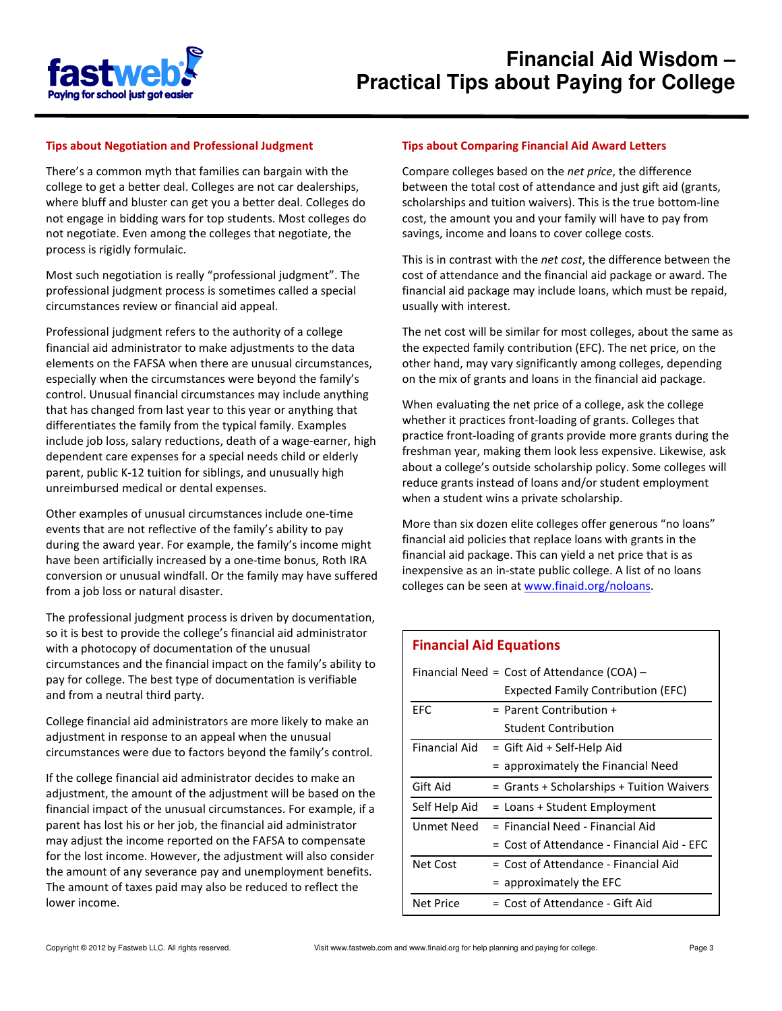

#### Tips about Negotiation and Professional Judgment

There's a common myth that families can bargain with the college to get a better deal. Colleges are not car dealerships, where bluff and bluster can get you a better deal. Colleges do not engage in bidding wars for top students. Most colleges do not negotiate. Even among the colleges that negotiate, the process is rigidly formulaic.

Most such negotiation is really "professional judgment". The professional judgment process is sometimes called a special circumstances review or financial aid appeal.

Professional judgment refers to the authority of a college financial aid administrator to make adjustments to the data elements on the FAFSA when there are unusual circumstances, especially when the circumstances were beyond the family's control. Unusual financial circumstances may include anything that has changed from last year to this year or anything that differentiates the family from the typical family. Examples include job loss, salary reductions, death of a wage-earner, high dependent care expenses for a special needs child or elderly parent, public K-12 tuition for siblings, and unusually high unreimbursed medical or dental expenses.

Other examples of unusual circumstances include one-time events that are not reflective of the family's ability to pay during the award year. For example, the family's income might have been artificially increased by a one-time bonus, Roth IRA conversion or unusual windfall. Or the family may have suffered from a job loss or natural disaster.

The professional judgment process is driven by documentation, so it is best to provide the college's financial aid administrator with a photocopy of documentation of the unusual circumstances and the financial impact on the family's ability to pay for college. The best type of documentation is verifiable and from a neutral third party.

College financial aid administrators are more likely to make an adjustment in response to an appeal when the unusual circumstances were due to factors beyond the family's control.

If the college financial aid administrator decides to make an adjustment, the amount of the adjustment will be based on the financial impact of the unusual circumstances. For example, if a parent has lost his or her job, the financial aid administrator may adjust the income reported on the FAFSA to compensate for the lost income. However, the adjustment will also consider the amount of any severance pay and unemployment benefits. The amount of taxes paid may also be reduced to reflect the lower income.

#### Tips about Comparing Financial Aid Award Letters

Compare colleges based on the net price, the difference between the total cost of attendance and just gift aid (grants, scholarships and tuition waivers). This is the true bottom-line cost, the amount you and your family will have to pay from savings, income and loans to cover college costs.

This is in contrast with the net cost, the difference between the cost of attendance and the financial aid package or award. The financial aid package may include loans, which must be repaid, usually with interest.

The net cost will be similar for most colleges, about the same as the expected family contribution (EFC). The net price, on the other hand, may vary significantly among colleges, depending on the mix of grants and loans in the financial aid package.

When evaluating the net price of a college, ask the college whether it practices front-loading of grants. Colleges that practice front-loading of grants provide more grants during the freshman year, making them look less expensive. Likewise, ask about a college's outside scholarship policy. Some colleges will reduce grants instead of loans and/or student employment when a student wins a private scholarship.

More than six dozen elite colleges offer generous "no loans" financial aid policies that replace loans with grants in the financial aid package. This can yield a net price that is as inexpensive as an in-state public college. A list of no loans colleges can be seen at www.finaid.org/noloans.

## Financial Aid Equations

| Financial Need = $Cost of$ Attendance $(COA)$ – |                                            |
|-------------------------------------------------|--------------------------------------------|
|                                                 | <b>Expected Family Contribution (EFC)</b>  |
| EFC                                             | $=$ Parent Contribution $+$                |
|                                                 | Student Contribution                       |
| Financial Aid                                   | = Gift Aid + Self-Help Aid                 |
|                                                 | = approximately the Financial Need         |
| Gift Aid                                        | = Grants + Scholarships + Tuition Waivers  |
| Self Help Aid                                   | = Loans + Student Employment               |
| Unmet Need                                      | $=$ Financial Need - Financial Aid         |
|                                                 | = Cost of Attendance - Financial Aid - FFC |
| Net Cost                                        | = Cost of Attendance - Financial Aid       |
|                                                 | $=$ approximately the EFC                  |
| <b>Net Price</b>                                | $=$ Cost of Attendance - Gift Aid          |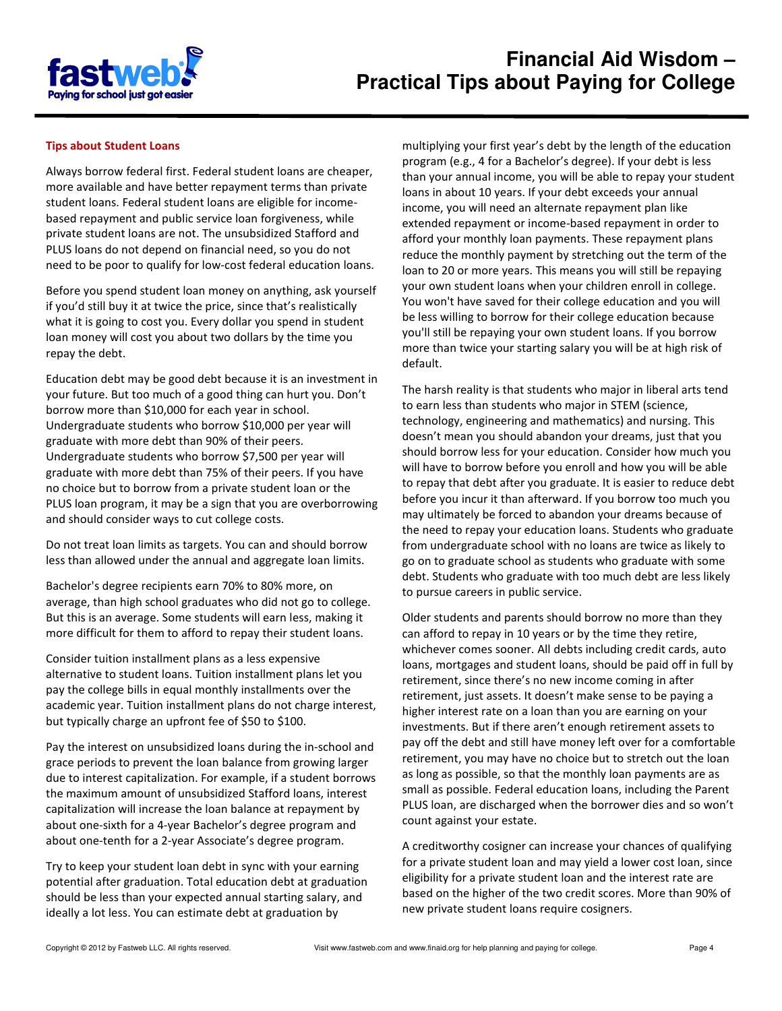

#### Tips about Student Loans

Always borrow federal first. Federal student loans are cheaper, more available and have better repayment terms than private student loans. Federal student loans are eligible for incomebased repayment and public service loan forgiveness, while private student loans are not. The unsubsidized Stafford and PLUS loans do not depend on financial need, so you do not need to be poor to qualify for low-cost federal education loans.

Before you spend student loan money on anything, ask yourself if you'd still buy it at twice the price, since that's realistically what it is going to cost you. Every dollar you spend in student loan money will cost you about two dollars by the time you repay the debt.

Education debt may be good debt because it is an investment in your future. But too much of a good thing can hurt you. Don't borrow more than \$10,000 for each year in school. Undergraduate students who borrow \$10,000 per year will graduate with more debt than 90% of their peers. Undergraduate students who borrow \$7,500 per year will graduate with more debt than 75% of their peers. If you have no choice but to borrow from a private student loan or the PLUS loan program, it may be a sign that you are overborrowing and should consider ways to cut college costs.

Do not treat loan limits as targets. You can and should borrow less than allowed under the annual and aggregate loan limits.

Bachelor's degree recipients earn 70% to 80% more, on average, than high school graduates who did not go to college. But this is an average. Some students will earn less, making it more difficult for them to afford to repay their student loans.

Consider tuition installment plans as a less expensive alternative to student loans. Tuition installment plans let you pay the college bills in equal monthly installments over the academic year. Tuition installment plans do not charge interest, but typically charge an upfront fee of \$50 to \$100.

Pay the interest on unsubsidized loans during the in-school and grace periods to prevent the loan balance from growing larger due to interest capitalization. For example, if a student borrows the maximum amount of unsubsidized Stafford loans, interest capitalization will increase the loan balance at repayment by about one-sixth for a 4-year Bachelor's degree program and about one-tenth for a 2-year Associate's degree program.

Try to keep your student loan debt in sync with your earning potential after graduation. Total education debt at graduation should be less than your expected annual starting salary, and ideally a lot less. You can estimate debt at graduation by

multiplying your first year's debt by the length of the education program (e.g., 4 for a Bachelor's degree). If your debt is less than your annual income, you will be able to repay your student loans in about 10 years. If your debt exceeds your annual income, you will need an alternate repayment plan like extended repayment or income-based repayment in order to afford your monthly loan payments. These repayment plans reduce the monthly payment by stretching out the term of the loan to 20 or more years. This means you will still be repaying your own student loans when your children enroll in college. You won't have saved for their college education and you will be less willing to borrow for their college education because you'll still be repaying your own student loans. If you borrow more than twice your starting salary you will be at high risk of default.

The harsh reality is that students who major in liberal arts tend to earn less than students who major in STEM (science, technology, engineering and mathematics) and nursing. This doesn't mean you should abandon your dreams, just that you should borrow less for your education. Consider how much you will have to borrow before you enroll and how you will be able to repay that debt after you graduate. It is easier to reduce debt before you incur it than afterward. If you borrow too much you may ultimately be forced to abandon your dreams because of the need to repay your education loans. Students who graduate from undergraduate school with no loans are twice as likely to go on to graduate school as students who graduate with some debt. Students who graduate with too much debt are less likely to pursue careers in public service.

Older students and parents should borrow no more than they can afford to repay in 10 years or by the time they retire, whichever comes sooner. All debts including credit cards, auto loans, mortgages and student loans, should be paid off in full by retirement, since there's no new income coming in after retirement, just assets. It doesn't make sense to be paying a higher interest rate on a loan than you are earning on your investments. But if there aren't enough retirement assets to pay off the debt and still have money left over for a comfortable retirement, you may have no choice but to stretch out the loan as long as possible, so that the monthly loan payments are as small as possible. Federal education loans, including the Parent PLUS loan, are discharged when the borrower dies and so won't count against your estate.

A creditworthy cosigner can increase your chances of qualifying for a private student loan and may yield a lower cost loan, since eligibility for a private student loan and the interest rate are based on the higher of the two credit scores. More than 90% of new private student loans require cosigners.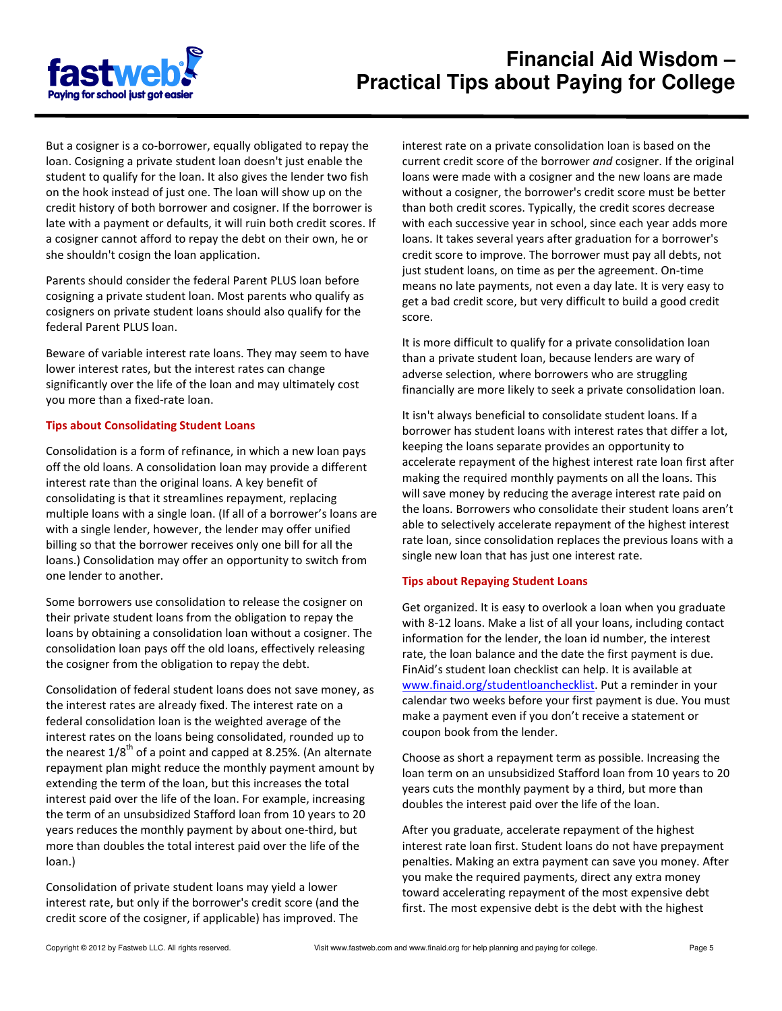

But a cosigner is a co-borrower, equally obligated to repay the loan. Cosigning a private student loan doesn't just enable the student to qualify for the loan. It also gives the lender two fish on the hook instead of just one. The loan will show up on the credit history of both borrower and cosigner. If the borrower is late with a payment or defaults, it will ruin both credit scores. If a cosigner cannot afford to repay the debt on their own, he or she shouldn't cosign the loan application.

Parents should consider the federal Parent PLUS loan before cosigning a private student loan. Most parents who qualify as cosigners on private student loans should also qualify for the federal Parent PLUS loan.

Beware of variable interest rate loans. They may seem to have lower interest rates, but the interest rates can change significantly over the life of the loan and may ultimately cost you more than a fixed-rate loan.

#### Tips about Consolidating Student Loans

Consolidation is a form of refinance, in which a new loan pays off the old loans. A consolidation loan may provide a different interest rate than the original loans. A key benefit of consolidating is that it streamlines repayment, replacing multiple loans with a single loan. (If all of a borrower's loans are with a single lender, however, the lender may offer unified billing so that the borrower receives only one bill for all the loans.) Consolidation may offer an opportunity to switch from one lender to another.

Some borrowers use consolidation to release the cosigner on their private student loans from the obligation to repay the loans by obtaining a consolidation loan without a cosigner. The consolidation loan pays off the old loans, effectively releasing the cosigner from the obligation to repay the debt.

Consolidation of federal student loans does not save money, as the interest rates are already fixed. The interest rate on a federal consolidation loan is the weighted average of the interest rates on the loans being consolidated, rounded up to the nearest  $1/8^{th}$  of a point and capped at 8.25%. (An alternate repayment plan might reduce the monthly payment amount by extending the term of the loan, but this increases the total interest paid over the life of the loan. For example, increasing the term of an unsubsidized Stafford loan from 10 years to 20 years reduces the monthly payment by about one-third, but more than doubles the total interest paid over the life of the loan.)

Consolidation of private student loans may yield a lower interest rate, but only if the borrower's credit score (and the credit score of the cosigner, if applicable) has improved. The interest rate on a private consolidation loan is based on the current credit score of the borrower and cosigner. If the original loans were made with a cosigner and the new loans are made without a cosigner, the borrower's credit score must be better than both credit scores. Typically, the credit scores decrease with each successive year in school, since each year adds more loans. It takes several years after graduation for a borrower's credit score to improve. The borrower must pay all debts, not just student loans, on time as per the agreement. On-time means no late payments, not even a day late. It is very easy to get a bad credit score, but very difficult to build a good credit score.

It is more difficult to qualify for a private consolidation loan than a private student loan, because lenders are wary of adverse selection, where borrowers who are struggling financially are more likely to seek a private consolidation loan.

It isn't always beneficial to consolidate student loans. If a borrower has student loans with interest rates that differ a lot, keeping the loans separate provides an opportunity to accelerate repayment of the highest interest rate loan first after making the required monthly payments on all the loans. This will save money by reducing the average interest rate paid on the loans. Borrowers who consolidate their student loans aren't able to selectively accelerate repayment of the highest interest rate loan, since consolidation replaces the previous loans with a single new loan that has just one interest rate.

#### Tips about Repaying Student Loans

Get organized. It is easy to overlook a loan when you graduate with 8-12 loans. Make a list of all your loans, including contact information for the lender, the loan id number, the interest rate, the loan balance and the date the first payment is due. FinAid's student loan checklist can help. It is available at www.finaid.org/studentloanchecklist. Put a reminder in your calendar two weeks before your first payment is due. You must make a payment even if you don't receive a statement or coupon book from the lender.

Choose as short a repayment term as possible. Increasing the loan term on an unsubsidized Stafford loan from 10 years to 20 years cuts the monthly payment by a third, but more than doubles the interest paid over the life of the loan.

After you graduate, accelerate repayment of the highest interest rate loan first. Student loans do not have prepayment penalties. Making an extra payment can save you money. After you make the required payments, direct any extra money toward accelerating repayment of the most expensive debt first. The most expensive debt is the debt with the highest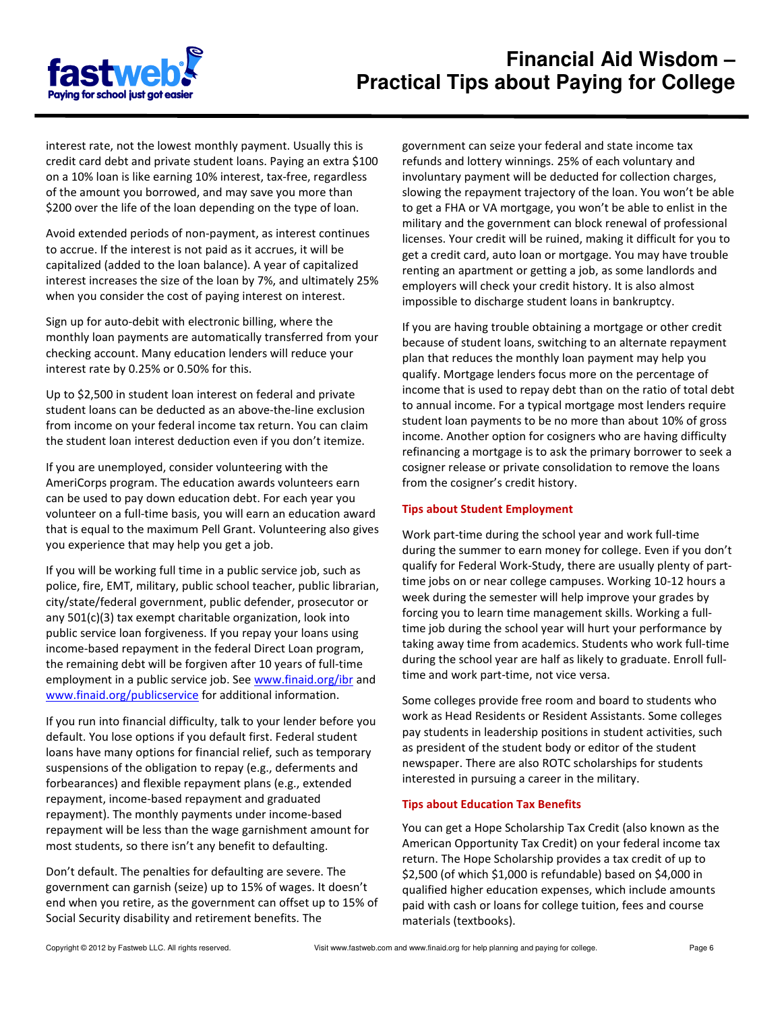

interest rate, not the lowest monthly payment. Usually this is credit card debt and private student loans. Paying an extra \$100 on a 10% loan is like earning 10% interest, tax-free, regardless of the amount you borrowed, and may save you more than \$200 over the life of the loan depending on the type of loan.

Avoid extended periods of non-payment, as interest continues to accrue. If the interest is not paid as it accrues, it will be capitalized (added to the loan balance). A year of capitalized interest increases the size of the loan by 7%, and ultimately 25% when you consider the cost of paying interest on interest.

Sign up for auto-debit with electronic billing, where the monthly loan payments are automatically transferred from your checking account. Many education lenders will reduce your interest rate by 0.25% or 0.50% for this.

Up to \$2,500 in student loan interest on federal and private student loans can be deducted as an above-the-line exclusion from income on your federal income tax return. You can claim the student loan interest deduction even if you don't itemize.

If you are unemployed, consider volunteering with the AmeriCorps program. The education awards volunteers earn can be used to pay down education debt. For each year you volunteer on a full-time basis, you will earn an education award that is equal to the maximum Pell Grant. Volunteering also gives you experience that may help you get a job.

If you will be working full time in a public service job, such as police, fire, EMT, military, public school teacher, public librarian, city/state/federal government, public defender, prosecutor or any 501(c)(3) tax exempt charitable organization, look into public service loan forgiveness. If you repay your loans using income-based repayment in the federal Direct Loan program, the remaining debt will be forgiven after 10 years of full-time employment in a public service job. See www.finaid.org/ibr and www.finaid.org/publicservice for additional information.

If you run into financial difficulty, talk to your lender before you default. You lose options if you default first. Federal student loans have many options for financial relief, such as temporary suspensions of the obligation to repay (e.g., deferments and forbearances) and flexible repayment plans (e.g., extended repayment, income-based repayment and graduated repayment). The monthly payments under income-based repayment will be less than the wage garnishment amount for most students, so there isn't any benefit to defaulting.

Don't default. The penalties for defaulting are severe. The government can garnish (seize) up to 15% of wages. It doesn't end when you retire, as the government can offset up to 15% of Social Security disability and retirement benefits. The

government can seize your federal and state income tax refunds and lottery winnings. 25% of each voluntary and involuntary payment will be deducted for collection charges, slowing the repayment trajectory of the loan. You won't be able to get a FHA or VA mortgage, you won't be able to enlist in the military and the government can block renewal of professional licenses. Your credit will be ruined, making it difficult for you to get a credit card, auto loan or mortgage. You may have trouble renting an apartment or getting a job, as some landlords and employers will check your credit history. It is also almost impossible to discharge student loans in bankruptcy.

If you are having trouble obtaining a mortgage or other credit because of student loans, switching to an alternate repayment plan that reduces the monthly loan payment may help you qualify. Mortgage lenders focus more on the percentage of income that is used to repay debt than on the ratio of total debt to annual income. For a typical mortgage most lenders require student loan payments to be no more than about 10% of gross income. Another option for cosigners who are having difficulty refinancing a mortgage is to ask the primary borrower to seek a cosigner release or private consolidation to remove the loans from the cosigner's credit history.

## Tips about Student Employment

Work part-time during the school year and work full-time during the summer to earn money for college. Even if you don't qualify for Federal Work-Study, there are usually plenty of parttime jobs on or near college campuses. Working 10-12 hours a week during the semester will help improve your grades by forcing you to learn time management skills. Working a fulltime job during the school year will hurt your performance by taking away time from academics. Students who work full-time during the school year are half as likely to graduate. Enroll fulltime and work part-time, not vice versa.

Some colleges provide free room and board to students who work as Head Residents or Resident Assistants. Some colleges pay students in leadership positions in student activities, such as president of the student body or editor of the student newspaper. There are also ROTC scholarships for students interested in pursuing a career in the military.

## Tips about Education Tax Benefits

You can get a Hope Scholarship Tax Credit (also known as the American Opportunity Tax Credit) on your federal income tax return. The Hope Scholarship provides a tax credit of up to \$2,500 (of which \$1,000 is refundable) based on \$4,000 in qualified higher education expenses, which include amounts paid with cash or loans for college tuition, fees and course materials (textbooks).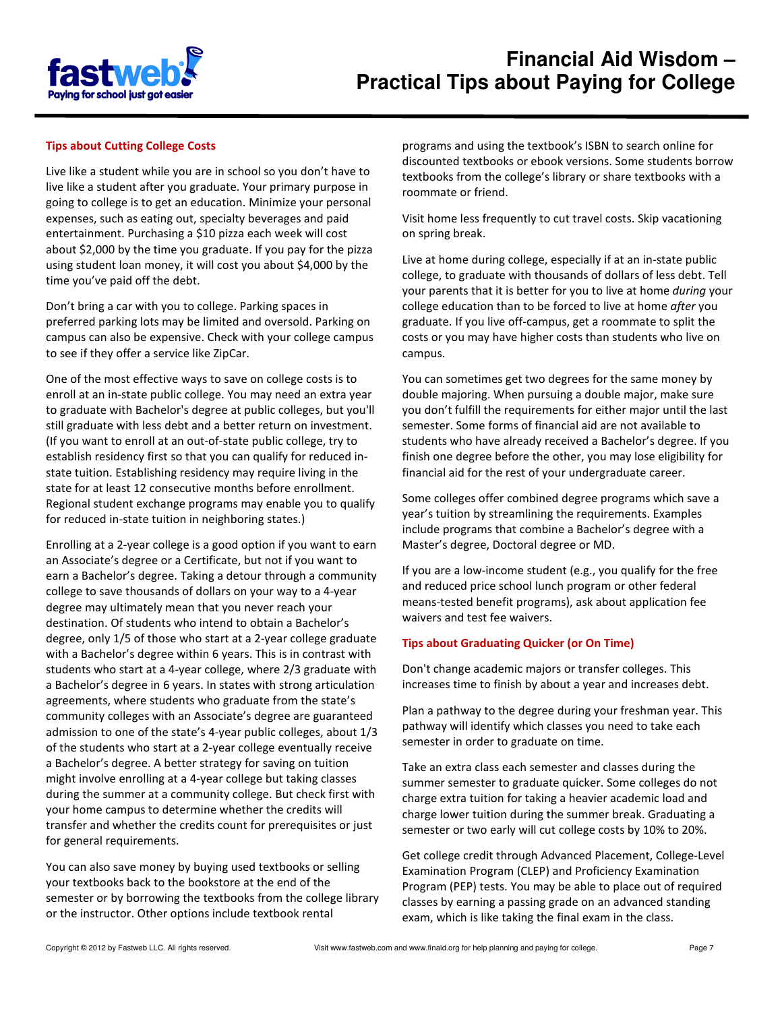

## Tips about Cutting College Costs

Live like a student while you are in school so you don't have to live like a student after you graduate. Your primary purpose in going to college is to get an education. Minimize your personal expenses, such as eating out, specialty beverages and paid entertainment. Purchasing a \$10 pizza each week will cost about \$2,000 by the time you graduate. If you pay for the pizza using student loan money, it will cost you about \$4,000 by the time you've paid off the debt.

Don't bring a car with you to college. Parking spaces in preferred parking lots may be limited and oversold. Parking on campus can also be expensive. Check with your college campus to see if they offer a service like ZipCar.

One of the most effective ways to save on college costs is to enroll at an in-state public college. You may need an extra year to graduate with Bachelor's degree at public colleges, but you'll still graduate with less debt and a better return on investment. (If you want to enroll at an out-of-state public college, try to establish residency first so that you can qualify for reduced instate tuition. Establishing residency may require living in the state for at least 12 consecutive months before enrollment. Regional student exchange programs may enable you to qualify for reduced in-state tuition in neighboring states.)

Enrolling at a 2-year college is a good option if you want to earn an Associate's degree or a Certificate, but not if you want to earn a Bachelor's degree. Taking a detour through a community college to save thousands of dollars on your way to a 4-year degree may ultimately mean that you never reach your destination. Of students who intend to obtain a Bachelor's degree, only 1/5 of those who start at a 2-year college graduate with a Bachelor's degree within 6 years. This is in contrast with students who start at a 4-year college, where 2/3 graduate with a Bachelor's degree in 6 years. In states with strong articulation agreements, where students who graduate from the state's community colleges with an Associate's degree are guaranteed admission to one of the state's 4-year public colleges, about 1/3 of the students who start at a 2-year college eventually receive a Bachelor's degree. A better strategy for saving on tuition might involve enrolling at a 4-year college but taking classes during the summer at a community college. But check first with your home campus to determine whether the credits will transfer and whether the credits count for prerequisites or just for general requirements.

You can also save money by buying used textbooks or selling your textbooks back to the bookstore at the end of the semester or by borrowing the textbooks from the college library or the instructor. Other options include textbook rental

programs and using the textbook's ISBN to search online for discounted textbooks or ebook versions. Some students borrow textbooks from the college's library or share textbooks with a roommate or friend.

Visit home less frequently to cut travel costs. Skip vacationing on spring break.

Live at home during college, especially if at an in-state public college, to graduate with thousands of dollars of less debt. Tell your parents that it is better for you to live at home during your college education than to be forced to live at home after you graduate. If you live off-campus, get a roommate to split the costs or you may have higher costs than students who live on campus.

You can sometimes get two degrees for the same money by double majoring. When pursuing a double major, make sure you don't fulfill the requirements for either major until the last semester. Some forms of financial aid are not available to students who have already received a Bachelor's degree. If you finish one degree before the other, you may lose eligibility for financial aid for the rest of your undergraduate career.

Some colleges offer combined degree programs which save a year's tuition by streamlining the requirements. Examples include programs that combine a Bachelor's degree with a Master's degree, Doctoral degree or MD.

If you are a low-income student (e.g., you qualify for the free and reduced price school lunch program or other federal means-tested benefit programs), ask about application fee waivers and test fee waivers.

#### Tips about Graduating Quicker (or On Time)

Don't change academic majors or transfer colleges. This increases time to finish by about a year and increases debt.

Plan a pathway to the degree during your freshman year. This pathway will identify which classes you need to take each semester in order to graduate on time.

Take an extra class each semester and classes during the summer semester to graduate quicker. Some colleges do not charge extra tuition for taking a heavier academic load and charge lower tuition during the summer break. Graduating a semester or two early will cut college costs by 10% to 20%.

Get college credit through Advanced Placement, College-Level Examination Program (CLEP) and Proficiency Examination Program (PEP) tests. You may be able to place out of required classes by earning a passing grade on an advanced standing exam, which is like taking the final exam in the class.